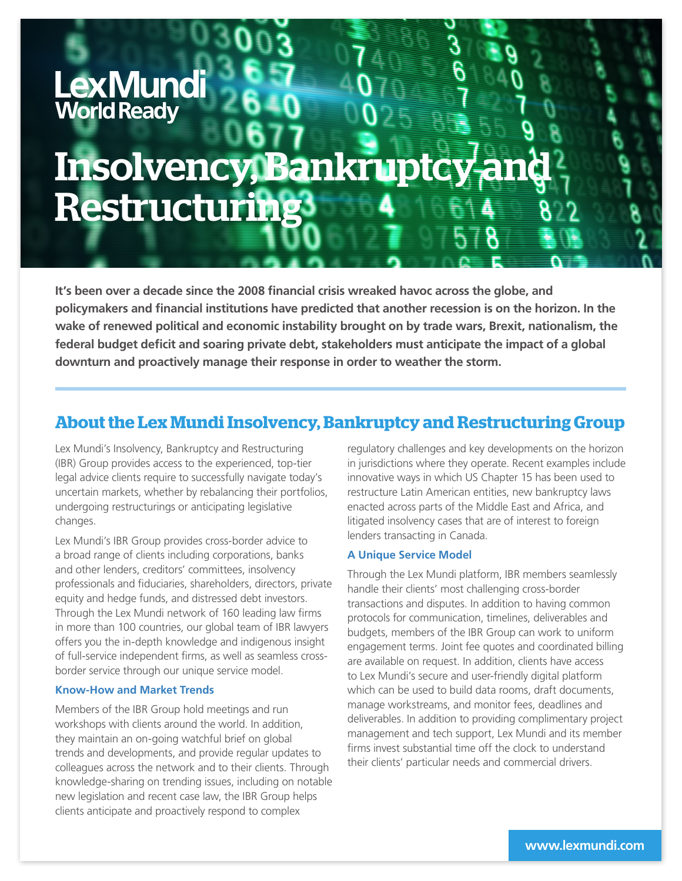# LexMundi World Ready **Insolvency, Bankrup** Restructuring

**It's been over a decade since the 2008 financial crisis wreaked havoc across the globe, and policymakers and financial institutions have predicted that another recession is on the horizon. In the wake of renewed political and economic instability brought on by trade wars, Brexit, nationalism, the federal budget deficit and soaring private debt, stakeholders must anticipate the impact of a global downturn and proactively manage their response in order to weather the storm.** 

# **About the Lex Mundi Insolvency, Bankruptcy and Restructuring Group**

Lex Mundi's Insolvency, Bankruptcy and Restructuring (IBR) Group provides access to the experienced, top-tier legal advice clients require to successfully navigate today's uncertain markets, whether by rebalancing their portfolios, undergoing restructurings or anticipating legislative changes.

Lex Mundi's IBR Group provides cross-border advice to a broad range of clients including corporations, banks and other lenders, creditors' committees, insolvency professionals and fiduciaries, shareholders, directors, private equity and hedge funds, and distressed debt investors. Through the Lex Mundi network of 160 leading law firms in more than 100 countries, our global team of IBR lawyers offers you the in-depth knowledge and indigenous insight of full-service independent firms, as well as seamless crossborder service through our unique service model.

#### **Know-How and Market Trends**

Members of the IBR Group hold meetings and run workshops with clients around the world. In addition, they maintain an on-going watchful brief on global trends and developments, and provide regular updates to colleagues across the network and to their clients. Through knowledge-sharing on trending issues, including on notable new legislation and recent case law, the IBR Group helps clients anticipate and proactively respond to complex

regulatory challenges and key developments on the horizon in jurisdictions where they operate. Recent examples include innovative ways in which US Chapter 15 has been used to restructure Latin American entities, new bankruptcy laws enacted across parts of the Middle East and Africa, and litigated insolvency cases that are of interest to foreign lenders transacting in Canada.

# **A Unique Service Model**

Through the Lex Mundi platform, IBR members seamlessly handle their clients' most challenging cross-border transactions and disputes. In addition to having common protocols for communication, timelines, deliverables and budgets, members of the IBR Group can work to uniform engagement terms. Joint fee quotes and coordinated billing are available on request. In addition, clients have access to Lex Mundi's secure and user-friendly digital platform which can be used to build data rooms, draft documents, manage workstreams, and monitor fees, deadlines and deliverables. In addition to providing complimentary project management and tech support, Lex Mundi and its member firms invest substantial time off the clock to understand their clients' particular needs and commercial drivers.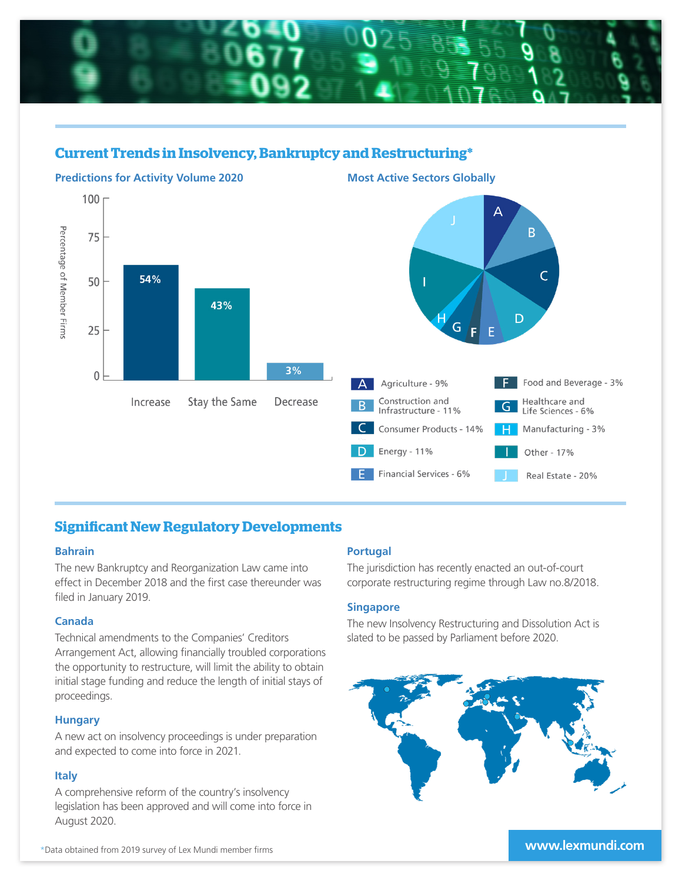

# **Current Trends in Insolvency, Bankruptcy and Restructuring\***



# **Significant New Regulatory Developments**

#### **Bahrain**

The new Bankruptcy and Reorganization Law came into effect in December 2018 and the first case thereunder was filed in January 2019.

# **Canada**

Technical amendments to the Companies' Creditors Arrangement Act, allowing financially troubled corporations the opportunity to restructure, will limit the ability to obtain initial stage funding and reduce the length of initial stays of proceedings.

#### **Hungary**

A new act on insolvency proceedings is under preparation and expected to come into force in 2021.

# **Italy**

A comprehensive reform of the country's insolvency legislation has been approved and will come into force in August 2020.

# **Portugal**

The jurisdiction has recently enacted an out-of-court corporate restructuring regime through Law no.8/2018.

# **Singapore**

The new Insolvency Restructuring and Dissolution Act is slated to be passed by Parliament before 2020.